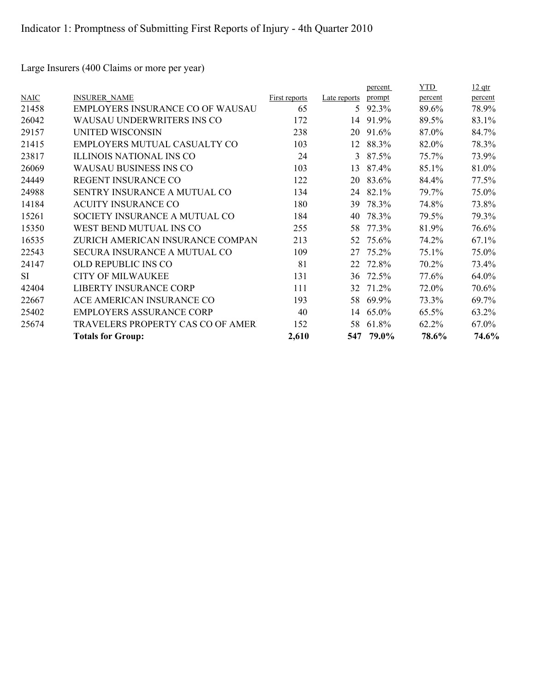Large Insurers (400 Claims or more per year)

|           |                                   |               |              | percent | <b>YTD</b> | <u>12 qtr</u> |
|-----------|-----------------------------------|---------------|--------------|---------|------------|---------------|
| NAIC      | <b>INSURER NAME</b>               | First reports | Late reports | prompt  | percent    | percent       |
| 21458     | EMPLOYERS INSURANCE CO OF WAUSAU  | 65            | 5            | 92.3%   | 89.6%      | 78.9%         |
| 26042     | WAUSAU UNDERWRITERS INS CO        | 172           | 14           | 91.9%   | 89.5%      | 83.1%         |
| 29157     | <b>UNITED WISCONSIN</b>           | 238           | 20           | 91.6%   | 87.0%      | 84.7%         |
| 21415     | EMPLOYERS MUTUAL CASUALTY CO      | 103           | 12           | 88.3%   | 82.0%      | 78.3%         |
| 23817     | <b>ILLINOIS NATIONAL INS CO</b>   | 24            | 3            | 87.5%   | 75.7%      | 73.9%         |
| 26069     | <b>WAUSAU BUSINESS INS CO</b>     | 103           | 13           | 87.4%   | 85.1%      | 81.0%         |
| 24449     | REGENT INSURANCE CO               | 122           | 20           | 83.6%   | 84.4%      | 77.5%         |
| 24988     | SENTRY INSURANCE A MUTUAL CO      | 134           | 24           | 82.1%   | 79.7%      | 75.0%         |
| 14184     | <b>ACUITY INSURANCE CO</b>        | 180           | 39           | 78.3%   | 74.8%      | 73.8%         |
| 15261     | SOCIETY INSURANCE A MUTUAL CO     | 184           | 40           | 78.3%   | 79.5%      | 79.3%         |
| 15350     | WEST BEND MUTUAL INS CO           | 255           | 58           | 77.3%   | 81.9%      | 76.6%         |
| 16535     | ZURICH AMERICAN INSURANCE COMPAN  | 213           | 52           | 75.6%   | 74.2%      | 67.1%         |
| 22543     | SECURA INSURANCE A MUTUAL CO      | 109           | 27           | 75.2%   | 75.1%      | 75.0%         |
| 24147     | OLD REPUBLIC INS CO               | 81            | 22           | 72.8%   | 70.2%      | 73.4%         |
| <b>SI</b> | <b>CITY OF MILWAUKEE</b>          | 131           | 36           | 72.5%   | 77.6%      | 64.0%         |
| 42404     | LIBERTY INSURANCE CORP            | 111           | 32           | 71.2%   | 72.0%      | 70.6%         |
| 22667     | ACE AMERICAN INSURANCE CO         | 193           | 58           | 69.9%   | 73.3%      | 69.7%         |
| 25402     | <b>EMPLOYERS ASSURANCE CORP</b>   | 40            | 14           | 65.0%   | 65.5%      | 63.2%         |
| 25674     | TRAVELERS PROPERTY CAS CO OF AMER | 152           | 58           | 61.8%   | 62.2%      | 67.0%         |
|           | <b>Totals for Group:</b>          | 2,610         | 547          | 79.0%   | 78.6%      | 74.6%         |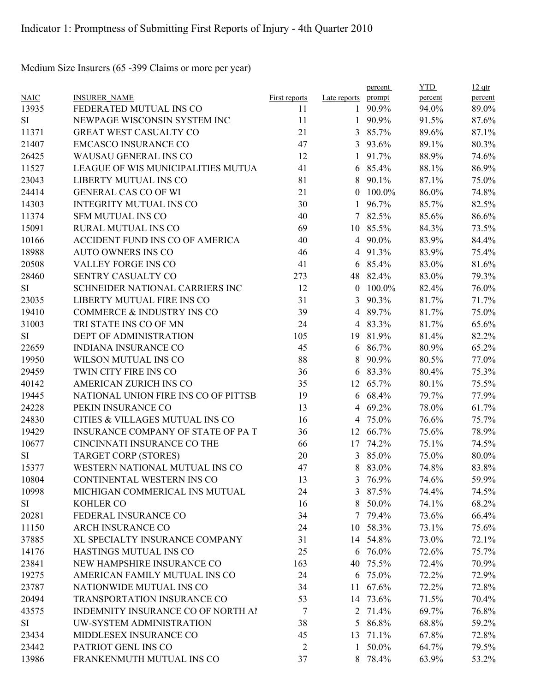Medium Size Insurers (65 -399 Claims or more per year)

|             |                                      |                |                     | percent  | <b>YTD</b> | $12$ qtr |
|-------------|--------------------------------------|----------------|---------------------|----------|------------|----------|
| <b>NAIC</b> | <b>INSURER NAME</b>                  | First reports  | Late reports prompt |          | percent    | percent  |
| 13935       | FEDERATED MUTUAL INS CO              | 11             |                     | 1 90.9%  | 94.0%      | 89.0%    |
| SI          | NEWPAGE WISCONSIN SYSTEM INC         | 11             | 1                   | 90.9%    | 91.5%      | 87.6%    |
| 11371       | GREAT WEST CASUALTY CO               | 21             | 3                   | 85.7%    | 89.6%      | 87.1%    |
| 21407       | <b>EMCASCO INSURANCE CO</b>          | 47             | 3                   | 93.6%    | 89.1%      | 80.3%    |
| 26425       | WAUSAU GENERAL INS CO                | 12             | 1                   | 91.7%    | 88.9%      | 74.6%    |
| 11527       | LEAGUE OF WIS MUNICIPALITIES MUTUA   | 41             | 6                   | 85.4%    | 88.1%      | 86.9%    |
| 23043       | LIBERTY MUTUAL INS CO                | 81             | 8                   | 90.1%    | 87.1%      | 75.0%    |
| 24414       | <b>GENERAL CAS CO OF WI</b>          | 21             | $\theta$            | 100.0%   | 86.0%      | 74.8%    |
| 14303       | <b>INTEGRITY MUTUAL INS CO</b>       | 30             | 1                   | 96.7%    | 85.7%      | 82.5%    |
| 11374       | <b>SFM MUTUAL INS CO</b>             | 40             | 7                   | 82.5%    | 85.6%      | 86.6%    |
| 15091       | RURAL MUTUAL INS CO                  | 69             | 10                  | 85.5%    | 84.3%      | 73.5%    |
| 10166       | ACCIDENT FUND INS CO OF AMERICA      | 40             | $\overline{4}$      | 90.0%    | 83.9%      | 84.4%    |
| 18988       | <b>AUTO OWNERS INS CO</b>            | 46             | 4                   | 91.3%    | 83.9%      | 75.4%    |
| 20508       | VALLEY FORGE INS CO                  | 41             | 6                   | 85.4%    | 83.0%      | 81.6%    |
| 28460       | SENTRY CASUALTY CO                   | 273            | 48                  | 82.4%    | 83.0%      | 79.3%    |
| SI          | SCHNEIDER NATIONAL CARRIERS INC      | 12             | $\theta$            | 100.0%   | 82.4%      | 76.0%    |
| 23035       | LIBERTY MUTUAL FIRE INS CO           | 31             | 3                   | 90.3%    | 81.7%      | 71.7%    |
| 19410       | COMMERCE & INDUSTRY INS CO           | 39             | $\overline{4}$      | 89.7%    | 81.7%      | 75.0%    |
| 31003       | TRI STATE INS CO OF MN               | 24             | 4                   | 83.3%    | 81.7%      | 65.6%    |
| SI          | DEPT OF ADMINISTRATION               | 105            | 19                  | 81.9%    | 81.4%      | 82.2%    |
| 22659       | <b>INDIANA INSURANCE CO</b>          | 45             | 6                   | 86.7%    | 80.9%      | 65.2%    |
| 19950       | WILSON MUTUAL INS CO                 | 88             | 8                   | 90.9%    | 80.5%      | 77.0%    |
| 29459       | TWIN CITY FIRE INS CO                | 36             | 6                   | 83.3%    | 80.4%      | 75.3%    |
| 40142       | AMERICAN ZURICH INS CO               | 35             | 12                  | 65.7%    | 80.1%      | 75.5%    |
| 19445       | NATIONAL UNION FIRE INS CO OF PITTSB | 19             | 6                   | 68.4%    | 79.7%      | 77.9%    |
| 24228       | PEKIN INSURANCE CO                   | 13             | 4                   | 69.2%    | 78.0%      | 61.7%    |
| 24830       | CITIES & VILLAGES MUTUAL INS CO      | 16             | 4                   | 75.0%    | 76.6%      | 75.7%    |
| 19429       | INSURANCE COMPANY OF STATE OF PAT    | 36             | 12                  | 66.7%    | 75.6%      | 78.9%    |
| 10677       | CINCINNATI INSURANCE CO THE          | 66             | 17                  | 74.2%    | 75.1%      | 74.5%    |
| SI          | <b>TARGET CORP (STORES)</b>          | 20             | 3                   | 85.0%    | 75.0%      | 80.0%    |
| 15377       | WESTERN NATIONAL MUTUAL INS CO       | 47             | 8                   | 83.0%    | 74.8%      | 83.8%    |
| 10804       | CONTINENTAL WESTERN INS CO           | 13             | $\overline{3}$      | 76.9%    | 74.6%      | 59.9%    |
| 10998       | MICHIGAN COMMERICAL INS MUTUAL       | 24             | 3                   | 87.5%    | 74.4%      | 74.5%    |
| SI          | KOHLER CO                            | 16             | 8                   | 50.0%    | 74.1%      | 68.2%    |
| 20281       | FEDERAL INSURANCE CO                 | 34             |                     | 7 79.4%  | 73.6%      | 66.4%    |
| 11150       | ARCH INSURANCE CO                    | 24             | 10                  | 58.3%    | 73.1%      | 75.6%    |
| 37885       | XL SPECIALTY INSURANCE COMPANY       | 31             |                     | 14 54.8% | 73.0%      | 72.1%    |
| 14176       | HASTINGS MUTUAL INS CO               | 25             | 6                   | 76.0%    | 72.6%      | 75.7%    |
| 23841       | NEW HAMPSHIRE INSURANCE CO           | 163            | 40                  | 75.5%    | 72.4%      | 70.9%    |
| 19275       | AMERICAN FAMILY MUTUAL INS CO        | 24             |                     | 6 75.0%  | 72.2%      | 72.9%    |
| 23787       | NATIONWIDE MUTUAL INS CO             | 34             | 11                  | 67.6%    | 72.2%      | 72.8%    |
|             | TRANSPORTATION INSURANCE CO          |                |                     |          |            |          |
| 20494       |                                      | 53             |                     | 14 73.6% | 71.5%      | 70.4%    |
| 43575       | INDEMNITY INSURANCE CO OF NORTH AI   | 7              |                     | 2 71.4%  | 69.7%      | 76.8%    |
| SI          | UW-SYSTEM ADMINISTRATION             | 38             | 5 <sup>5</sup>      | 86.8%    | 68.8%      | 59.2%    |
| 23434       | MIDDLESEX INSURANCE CO               | 45             | 13                  | 71.1%    | 67.8%      | 72.8%    |
| 23442       | PATRIOT GENL INS CO                  | $\overline{2}$ | $\mathbf{1}$        | 50.0%    | 64.7%      | 79.5%    |
| 13986       | FRANKENMUTH MUTUAL INS CO            | 37             |                     | 8 78.4%  | 63.9%      | 53.2%    |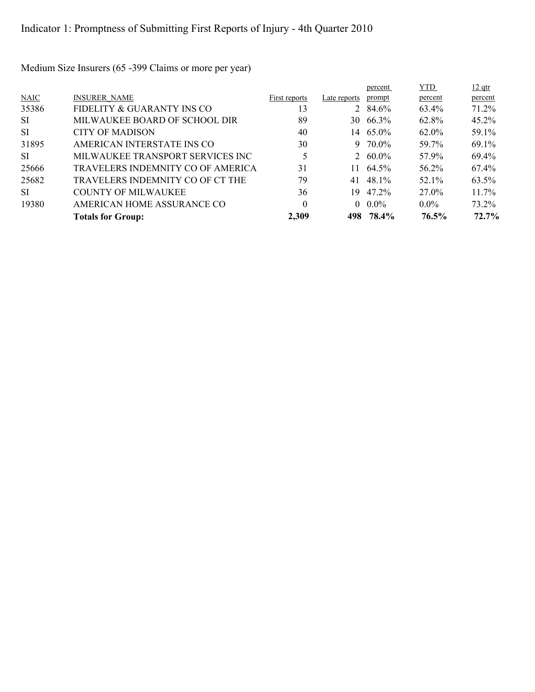Medium Size Insurers (65 -399 Claims or more per year)

|             |                                   |               |              | percent         | <b>YTD</b> | $12$ qtr |
|-------------|-----------------------------------|---------------|--------------|-----------------|------------|----------|
| <b>NAIC</b> | <b>INSURER NAME</b>               | First reports | Late reports | prompt          | percent    | percent  |
| 35386       | FIDELITY & GUARANTY INS CO        | 13            |              | 2 $84.6\%$      | 63.4%      | 71.2%    |
| SI.         | MILWAUKEE BOARD OF SCHOOL DIR     | 89            | 30           | 66.3%           | 62.8%      | 45.2%    |
| SI.         | <b>CITY OF MADISON</b>            | 40            |              | 14 65.0%        | $62.0\%$   | 59.1%    |
| 31895       | AMERICAN INTERSTATE INS CO        | 30            |              | $9\quad 70.0\%$ | 59.7%      | 69.1%    |
| SI.         | MILWAUKEE TRANSPORT SERVICES INC  | 5             |              | 2 $60.0\%$      | 57.9%      | 69.4%    |
| 25666       | TRAVELERS INDEMNITY CO OF AMERICA | 31            | 11           | 64.5%           | 56.2%      | 67.4%    |
| 25682       | TRAVELERS INDEMNITY CO OF CT THE  | 79            | 41           | 48.1%           | 52.1%      | 63.5%    |
| SI.         | <b>COUNTY OF MILWAUKEE</b>        | 36            | 19           | 47 2%           | 27.0%      | $11.7\%$ |
| 19380       | AMERICAN HOME ASSURANCE CO        | $\theta$      |              | $0.0\%$         | $0.0\%$    | 73.2%    |
|             | <b>Totals for Group:</b>          | 2,309         | 498          | 78.4%           | 76.5%      | 72.7%    |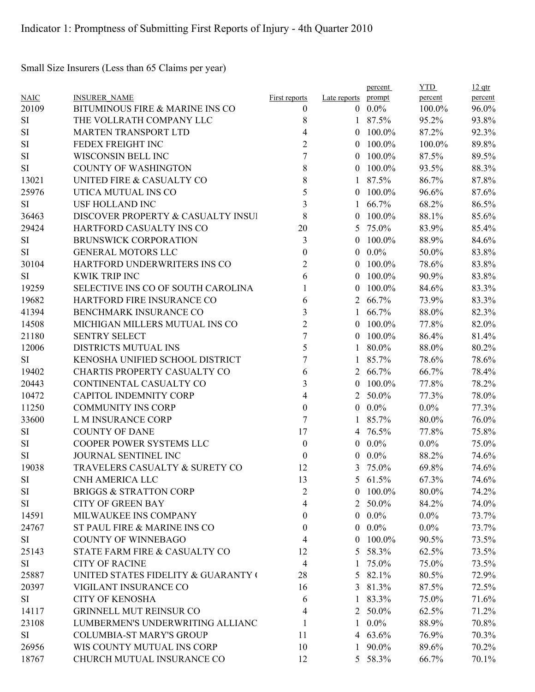Small Size Insurers (Less than 65 Claims per year)

|             |                                     |                      |                | percent    | <b>YTD</b> | $12$ qtr |
|-------------|-------------------------------------|----------------------|----------------|------------|------------|----------|
| <b>NAIC</b> | <b>INSURER NAME</b>                 | <b>First reports</b> | Late reports   | prompt     | percent    | percent  |
| 20109       | BITUMINOUS FIRE & MARINE INS CO     | 0                    |                | $0.0\%$    | 100.0%     | 96.0%    |
| <b>SI</b>   | THE VOLLRATH COMPANY LLC            | 8                    | $\mathbf{1}$   | 87.5%      | 95.2%      | 93.8%    |
| <b>SI</b>   | <b>MARTEN TRANSPORT LTD</b>         | 4                    | $\theta$       | 100.0%     | 87.2%      | 92.3%    |
| $\rm SI$    | FEDEX FREIGHT INC                   | $\overline{2}$       | $\theta$       | 100.0%     | 100.0%     | 89.8%    |
| $\rm SI$    | WISCONSIN BELL INC                  | 7                    | $\theta$       | 100.0%     | 87.5%      | 89.5%    |
| <b>SI</b>   | <b>COUNTY OF WASHINGTON</b>         | 8                    | $\theta$       | 100.0%     | 93.5%      | 88.3%    |
| 13021       | UNITED FIRE & CASUALTY CO           | 8                    | 1              | 87.5%      | 86.7%      | 87.8%    |
| 25976       | UTICA MUTUAL INS CO                 | 5                    | $\theta$       | 100.0%     | 96.6%      | 87.6%    |
| <b>SI</b>   | <b>USF HOLLAND INC</b>              | 3                    |                | 66.7%      | 68.2%      | 86.5%    |
| 36463       | DISCOVER PROPERTY & CASUALTY INSUI  | 8                    | $\theta$       | 100.0%     | 88.1%      | 85.6%    |
| 29424       | HARTFORD CASUALTY INS CO            | 20                   | 5              | 75.0%      | 83.9%      | 85.4%    |
| <b>SI</b>   | <b>BRUNSWICK CORPORATION</b>        | 3                    | $\theta$       | 100.0%     | 88.9%      | 84.6%    |
| <b>SI</b>   | <b>GENERAL MOTORS LLC</b>           | 0                    | $\theta$       | $0.0\%$    | 50.0%      | 83.8%    |
| 30104       | HARTFORD UNDERWRITERS INS CO        | 2                    | $\theta$       | 100.0%     | 78.6%      | 83.8%    |
| <b>SI</b>   | <b>KWIK TRIP INC</b>                | 6                    | $\theta$       | 100.0%     | 90.9%      | 83.8%    |
| 19259       | SELECTIVE INS CO OF SOUTH CAROLINA  |                      | $\theta$       | 100.0%     | 84.6%      | 83.3%    |
| 19682       | HARTFORD FIRE INSURANCE CO          | 6                    | 2              | 66.7%      | 73.9%      | 83.3%    |
| 41394       | BENCHMARK INSURANCE CO              | 3                    | $\mathbf{1}$   | 66.7%      | 88.0%      | 82.3%    |
| 14508       | MICHIGAN MILLERS MUTUAL INS CO      | $\overline{2}$       | $\theta$       | 100.0%     | 77.8%      | 82.0%    |
| 21180       | <b>SENTRY SELECT</b>                | 7                    | $\theta$       | 100.0%     | 86.4%      | 81.4%    |
| 12006       | DISTRICTS MUTUAL INS                | 5                    | 1              | 80.0%      | 88.0%      | 80.2%    |
| <b>SI</b>   | KENOSHA UNIFIED SCHOOL DISTRICT     | 7                    | 1              | 85.7%      | 78.6%      | 78.6%    |
| 19402       | CHARTIS PROPERTY CASUALTY CO        | 6                    | 2              | 66.7%      | 66.7%      | 78.4%    |
| 20443       | CONTINENTAL CASUALTY CO             | 3                    | $\theta$       | 100.0%     | 77.8%      | 78.2%    |
| 10472       | <b>CAPITOL INDEMNITY CORP</b>       | 4                    | 2              | 50.0%      | 77.3%      | 78.0%    |
| 11250       | <b>COMMUNITY INS CORP</b>           | $\boldsymbol{0}$     |                | $0.0\%$    | $0.0\%$    | 77.3%    |
| 33600       | L M INSURANCE CORP                  | 7                    |                | 85.7%      | 80.0%      | 76.0%    |
| <b>SI</b>   | <b>COUNTY OF DANE</b>               | 17                   | 4              | 76.5%      | 77.8%      | 75.8%    |
| SI          | COOPER POWER SYSTEMS LLC            | $\boldsymbol{0}$     | $\theta$       | $0.0\%$    | $0.0\%$    | 75.0%    |
| SI          | JOURNAL SENTINEL INC                | $\boldsymbol{0}$     | $\theta$       | $0.0\%$    | 88.2%      | 74.6%    |
| 19038       | TRAVELERS CASUALTY & SURETY CO      | 12                   | 3              | 75.0%      | 69.8%      | 74.6%    |
| SI          | CNH AMERICA LLC                     | 13                   |                | 5 61.5%    | 67.3%      | 74.6%    |
| SI          | <b>BRIGGS &amp; STRATTON CORP</b>   | 2                    |                | $0$ 100.0% | 80.0%      | 74.2%    |
| SI          | <b>CITY OF GREEN BAY</b>            | 4                    |                | 2 50.0%    | 84.2%      | 74.0%    |
| 14591       | MILWAUKEE INS COMPANY               | 0                    |                | $0.0\%$    | $0.0\%$    | 73.7%    |
| 24767       | ST PAUL FIRE & MARINE INS CO        | 0                    | $\overline{0}$ | $0.0\%$    | $0.0\%$    | 73.7%    |
| SI          | <b>COUNTY OF WINNEBAGO</b>          | 4                    | $\overline{0}$ | 100.0%     | 90.5%      | 73.5%    |
| 25143       | STATE FARM FIRE & CASUALTY CO       | 12                   | 5              | 58.3%      | 62.5%      | 73.5%    |
| <b>SI</b>   | <b>CITY OF RACINE</b>               | 4                    | 1              | 75.0%      | 75.0%      | 73.5%    |
| 25887       | UNITED STATES FIDELITY & GUARANTY ( | 28                   |                | 5 82.1%    | 80.5%      | 72.9%    |
| 20397       | VIGILANT INSURANCE CO               | 16                   |                | 3 81.3%    | 87.5%      | 72.5%    |
|             |                                     |                      |                |            |            |          |
| <b>SI</b>   | <b>CITY OF KENOSHA</b>              | 6                    |                | 1 83.3%    | 75.0%      | 71.6%    |
| 14117       | <b>GRINNELL MUT REINSUR CO</b>      | 4                    |                | 2 50.0%    | 62.5%      | 71.2%    |
| 23108       | LUMBERMEN'S UNDERWRITING ALLIANC    |                      | $\mathbf{1}$   | $0.0\%$    | 88.9%      | 70.8%    |
| SI          | <b>COLUMBIA-ST MARY'S GROUP</b>     | 11                   | 4              | 63.6%      | 76.9%      | 70.3%    |
| 26956       | WIS COUNTY MUTUAL INS CORP          | 10                   | 1              | 90.0%      | 89.6%      | 70.2%    |
| 18767       | CHURCH MUTUAL INSURANCE CO          | 12                   |                | 5 58.3%    | 66.7%      | 70.1%    |